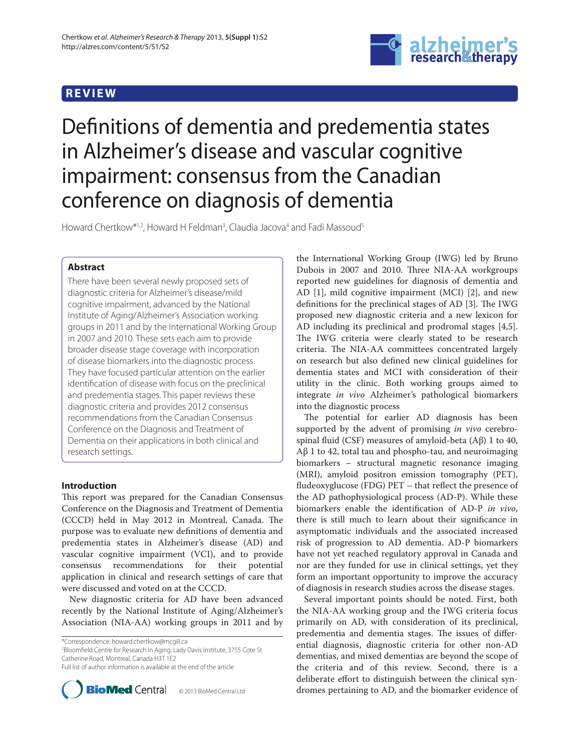# **REVIEW**



Definitions of dementia and predementia states in Alzheimer's disease and vascular cognitive impairment: consensus from the Canadian conference on diagnosis of dementia

Howard Chertkow<sup>\*1,2</sup>, Howard H Feldman<sup>3</sup>, Claudia Jacova<sup>4</sup> and Fadi Massoud<sup>5</sup>

# **Abstract**

There have been several newly proposed sets of diagnostic criteria for Alzheimer's disease/mild cognitive impairment, advanced by the National Institute of Aging/Alzheimer's Association working groups in 2011 and by the International Working Group in 2007 and 2010. These sets each aim to provide broader disease stage coverage with incorporation of disease biomarkers into the diagnostic process. They have focused particular attention on the earlier identification of disease with focus on the preclinical and predementia stages. This paper reviews these diagnostic criteria and provides 2012 consensus recommendations from the Canadian Consensus Conference on the Diagnosis and Treatment of Dementia on their applications in both clinical and research settings.

# **Introduction**

This report was prepared for the Canadian Consensus Conference on the Diagnosis and Treatment of Dementia (CCCD) held in May 2012 in Montreal, Canada. The purpose was to evaluate new definitions of dementia and pre dementia states in Alzheimer's disease (AD) and vascular cognitive impairment (VCI), and to provide consensus recommendations for their potential application in clinical and research settings of care that were discussed and voted on at the CCCD.

New diagnostic criteria for AD have been advanced recently by the National Institute of Aging/Alzheimer's Association (NIA-AA) working groups in 2011 and by

\*Correspondence: howard.chertkow@mcgill.ca

<sup>2</sup>Bloomfield Centre for Research in Aging, Lady Davis Institute, 3755 Cote St Catherine Road, Montreal, Canada H3T 1E2 Full list of author information is available at the end of the article



the International Working Group (IWG) led by Bruno Dubois in 2007 and 2010. Three NIA-AA workgroups reported new guidelines for diagnosis of dementia and AD [1], mild cognitive impairment (MCI) [2], and new definitions for the preclinical stages of AD [3]. The IWG proposed new diagnostic criteria and a new lexicon for AD including its preclinical and prodromal stages [4,5]. The IWG criteria were clearly stated to be research criteria. The NIA-AA committees concentrated largely on research but also defined new clinical guidelines for dementia states and MCI with consideration of their utility in the clinic. Both working groups aimed to integrate *in vivo* Alzheimer's pathological biomarkers into the diagnostic process

The potential for earlier AD diagnosis has been supported by the advent of promising *in vivo* cerebrospinal fluid (CSF) measures of amyloid-beta (Aβ) 1 to 40, Aβ 1 to 42, total tau and phospho-tau, and neuroimaging biomarkers – structural magnetic resonance imaging (MRI), amyloid positron emission tomography (PET), fludeoxyglucose (FDG)  $PET - that$  reflect the presence of the AD pathophysiological process (AD-P). While these biomarkers enable the identification of AD-P *in vivo*, there is still much to learn about their significance in asymp tomatic individuals and the associated increased risk of progression to AD dementia. AD-P biomarkers have not yet reached regulatory approval in Canada and nor are they funded for use in clinical settings, yet they form an important opportunity to improve the accuracy of diagnosis in research studies across the disease stages.

Several important points should be noted. First, both the NIA-AA working group and the IWG criteria focus primarily on AD, with consideration of its preclinical, predementia and dementia stages. The issues of differential diagnosis, diagnostic criteria for other non-AD dementias, and mixed dementias are beyond the scope of the criteria and of this review. Second, there is a deliberate effort to distinguish between the clinical syndromes pertaining to AD, and the biomarker evidence of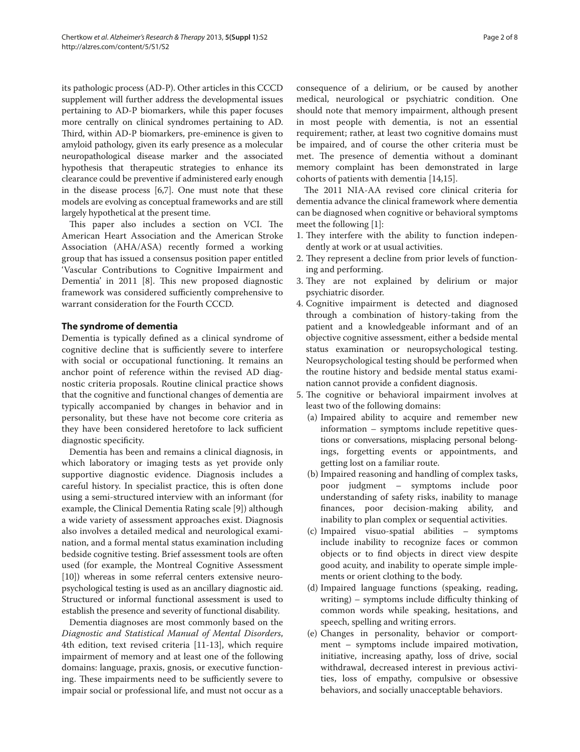its pathologic process (AD-P). Other articles in this CCCD supplement will further address the developmental issues pertaining to AD-P biomarkers, while this paper focuses more centrally on clinical syndromes pertaining to AD. Third, within AD-P biomarkers, pre-eminence is given to amyloid pathology, given its early presence as a molecular neuropathological disease marker and the associated hypothesis that therapeutic strategies to enhance its clearance could be preventive if administered early enough in the disease process [6,7]. One must note that these models are evolving as conceptual frameworks and are still largely hypothetical at the present time.

This paper also includes a section on VCI. The American Heart Association and the American Stroke Association (AHA/ASA) recently formed a working group that has issued a consensus position paper entitled 'Vascular Contributions to Cognitive Impairment and Dementia' in 2011 [8]. This new proposed diagnostic framework was considered sufficiently comprehensive to warrant consideration for the Fourth CCCD.

### **The syndrome of dementia**

Dementia is typically defined as a clinical syndrome of cognitive decline that is sufficiently severe to interfere with social or occupational functioning. It remains an anchor point of reference within the revised AD diagnostic criteria proposals. Routine clinical practice shows that the cognitive and functional changes of dementia are typically accompanied by changes in behavior and in personality, but these have not become core criteria as they have been considered heretofore to lack sufficient diagnostic specificity.

Dementia has been and remains a clinical diagnosis, in which laboratory or imaging tests as yet provide only supportive diagnostic evidence. Diagnosis includes a careful history. In specialist practice, this is often done using a semi-structured interview with an informant (for example, the Clinical Dementia Rating scale [9]) although a wide variety of assessment approaches exist. Diagnosis also involves a detailed medical and neurological examination, and a formal mental status examination including bedside cognitive testing. Brief assessment tools are often used (for example, the Montreal Cognitive Assessment [10]) whereas in some referral centers extensive neuropsychological testing is used as an ancillary diagnostic aid. Structured or informal functional assessment is used to establish the presence and severity of functional disability.

Dementia diagnoses are most commonly based on the *Diagnostic and Statistical Manual of Mental Disorders*, 4th edition, text revised criteria [11-13], which require impairment of memory and at least one of the following domains: language, praxis, gnosis, or executive functioning. These impairments need to be sufficiently severe to impair social or professional life, and must not occur as a consequence of a delirium, or be caused by another medical, neurological or psychiatric condition. One should note that memory impairment, although present in most people with dementia, is not an essential requirement; rather, at least two cognitive domains must be impaired, and of course the other criteria must be met. The presence of dementia without a dominant memory complaint has been demonstrated in large cohorts of patients with dementia [14,15].

The 2011 NIA-AA revised core clinical criteria for dementia advance the clinical framework where dementia can be diagnosed when cognitive or behavioral symptoms meet the following [1]:

- 1. They interfere with the ability to function independently at work or at usual activities.
- 2. They represent a decline from prior levels of functioning and performing.
- 3. They are not explained by delirium or major psychiatric disorder.
- 4. Cognitive impairment is detected and diagnosed through a combination of history-taking from the patient and a knowledgeable informant and of an objective cognitive assessment, either a bedside mental status examination or neuropsychological testing. Neuropsychological testing should be performed when the routine history and bedside mental status examination cannot provide a confident diagnosis.
- 5. The cognitive or behavioral impairment involves at least two of the following domains:
	- (a) Impaired ability to acquire and remember new information – symptoms include repetitive questions or conversations, misplacing personal belongings, forgetting events or appointments, and getting lost on a familiar route.
	- (b) Impaired reasoning and handling of complex tasks, poor judgment – symptoms include poor understanding of safety risks, inability to manage finances, poor decision-making ability, and inability to plan complex or sequential activities.
	- (c) Impaired visuo-spatial abilities symptoms include inability to recognize faces or common objects or to find objects in direct view despite good acuity, and inability to operate simple implements or orient clothing to the body.
	- (d) Impaired language functions (speaking, reading, writing) – symptoms include difficulty thinking of common words while speaking, hesitations, and speech, spelling and writing errors.
	- (e) Changes in personality, behavior or comportment – symptoms include impaired motivation, initiative, increasing apathy, loss of drive, social withdrawal, decreased interest in previous activities, loss of empathy, compulsive or obsessive behaviors, and socially unacceptable behaviors.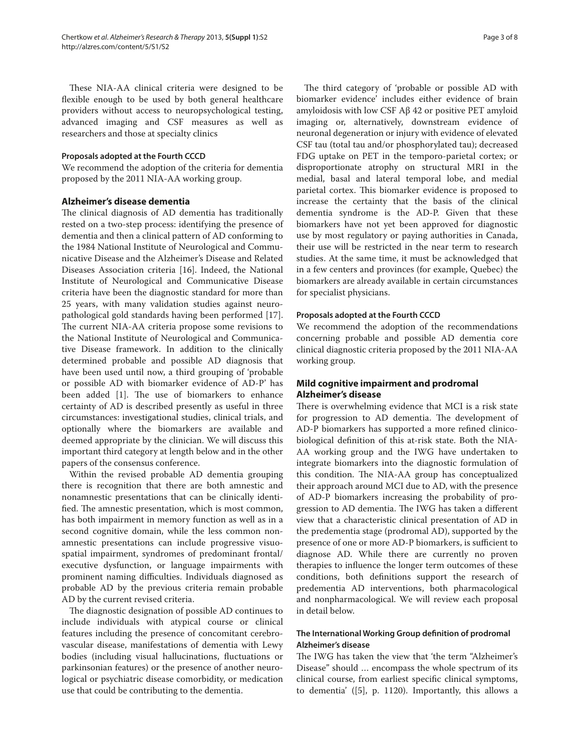These NIA-AA clinical criteria were designed to be flexible enough to be used by both general healthcare providers without access to neuropsychological testing, advanced imaging and CSF measures as well as researchers and those at specialty clinics

### **Proposals adopted at the Fourth CCCD**

We recommend the adoption of the criteria for dementia proposed by the 2011 NIA-AA working group.

### **Alzheimer's disease dementia**

The clinical diagnosis of AD dementia has traditionally rested on a two-step process: identifying the presence of dementia and then a clinical pattern of AD conforming to the 1984 National Institute of Neurological and Communicative Disease and the Alzheimer's Disease and Related Diseases Association criteria [16]. Indeed, the National Institute of Neurological and Communicative Disease criteria have been the diagnostic standard for more than 25 years, with many validation studies against neuropathological gold standards having been performed [17]. The current NIA-AA criteria propose some revisions to the National Institute of Neurological and Communicative Disease framework. In addition to the clinically determined probable and possible AD diagnosis that have been used until now, a third grouping of 'probable or possible AD with biomarker evidence of AD-P' has been added [1]. The use of biomarkers to enhance certainty of AD is described presently as useful in three circumstances: investigational studies, clinical trials, and optionally where the biomarkers are available and deemed appropriate by the clinician. We will discuss this important third category at length below and in the other papers of the consensus conference.

Within the revised probable AD dementia grouping there is recognition that there are both amnestic and nonamnestic presentations that can be clinically identified. The amnestic presentation, which is most common, has both impairment in memory function as well as in a second cognitive domain, while the less common nonamnestic presentations can include progressive visuospatial impairment, syndromes of predominant frontal/ executive dysfunction, or language impairments with prominent naming difficulties. Individuals diagnosed as probable AD by the previous criteria remain probable AD by the current revised criteria.

The diagnostic designation of possible AD continues to include individuals with atypical course or clinical features including the presence of concomitant cerebrovascular disease, manifestations of dementia with Lewy bodies (including visual hallucinations, fluctuations or parkinsonian features) or the presence of another neurological or psychiatric disease comorbidity, or medication use that could be contributing to the dementia.

The third category of 'probable or possible AD with biomarker evidence' includes either evidence of brain amy loidosis with low CSF Aβ 42 or positive PET amyloid imaging or, alternatively, downstream evidence of neuronal degeneration or injury with evidence of elevated CSF tau (total tau and/or phosphorylated tau); decreased FDG uptake on PET in the temporo-parietal cortex; or disproportionate atrophy on structural MRI in the medial, basal and lateral temporal lobe, and medial parietal cortex. This biomarker evidence is proposed to increase the certainty that the basis of the clinical dementia syndrome is the AD-P. Given that these biomarkers have not yet been approved for diagnostic use by most regulatory or paying authorities in Canada, their use will be restricted in the near term to research studies. At the same time, it must be acknowledged that in a few centers and provinces (for example, Quebec) the biomarkers are already available in certain circumstances for specialist physicians.

### **Proposals adopted at the Fourth CCCD**

We recommend the adoption of the recommendations concerning probable and possible AD dementia core clinical diagnostic criteria proposed by the 2011 NIA-AA working group.

# **Mild cognitive impairment and prodromal Alzheimer's disease**

There is overwhelming evidence that MCI is a risk state for progression to AD dementia. The development of AD-P biomarkers has supported a more refined clinicobiological definition of this at-risk state. Both the NIA-AA working group and the IWG have undertaken to integrate biomarkers into the diagnostic formulation of this condition. The NIA-AA group has conceptualized their approach around MCI due to AD, with the presence of AD-P biomarkers increasing the probability of progression to AD dementia. The IWG has taken a different view that a characteristic clinical presentation of AD in the predementia stage (prodromal AD), supported by the presence of one or more AD-P biomarkers, is sufficient to diagnose AD. While there are currently no proven therapies to influence the longer term outcomes of these conditions, both definitions support the research of predementia AD interventions, both pharmacological and nonpharmacological. We will review each proposal in detail below.

# **The International Working Group definition of prodromal Alzheimer's disease**

The IWG has taken the view that 'the term "Alzheimer's Disease" should … encompass the whole spectrum of its clinical course, from earliest specific clinical symptoms, to dementia' ([5], p. 1120). Importantly, this allows a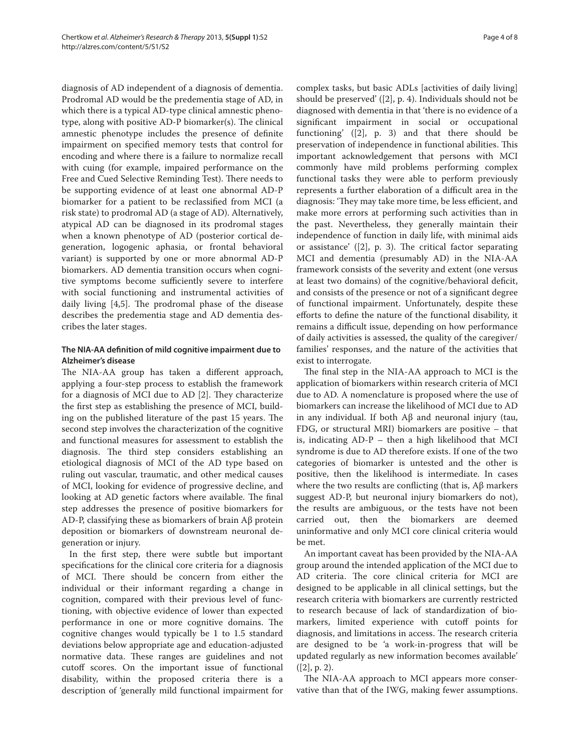diagnosis of AD independent of a diagnosis of dementia. Prodromal AD would be the predementia stage of AD, in which there is a typical AD-type clinical amnestic phenotype, along with positive  $AD-P$  biomarker(s). The clinical amnestic phenotype includes the presence of definite impairment on specified memory tests that control for encoding and where there is a failure to normalize recall with cuing (for example, impaired performance on the Free and Cued Selective Reminding Test). There needs to be supporting evidence of at least one abnormal AD-P biomarker for a patient to be reclassified from MCI (a risk state) to prodromal AD (a stage of AD). Alternatively, atypical AD can be diagnosed in its prodromal stages when a known phenotype of AD (posterior cortical degenera tion, logogenic aphasia, or frontal behavioral variant) is supported by one or more abnormal AD-P biomarkers. AD dementia transition occurs when cognitive symptoms become sufficiently severe to interfere with social functioning and instrumental activities of daily living [4,5]. The prodromal phase of the disease describes the predementia stage and AD dementia describes the later stages.

### The NIA-AA definition of mild cognitive impairment due to **Alzheimer's disease**

The NIA-AA group has taken a different approach, applying a four-step process to establish the framework for a diagnosis of MCI due to AD [2]. They characterize the first step as establishing the presence of MCI, building on the published literature of the past 15 years. The second step involves the characterization of the cognitive and functional measures for assessment to establish the diagnosis. The third step considers establishing an etiological diagnosis of MCI of the AD type based on ruling out vascular, traumatic, and other medical causes of MCI, looking for evidence of progressive decline, and looking at AD genetic factors where available. The final step addresses the presence of positive biomarkers for AD-P, classifying these as biomarkers of brain Aβ protein deposition or biomarkers of downstream neuronal degeneration or injury.

In the first step, there were subtle but important specifications for the clinical core criteria for a diagnosis of MCI. There should be concern from either the individual or their informant regarding a change in cognition, compared with their previous level of functioning, with objective evidence of lower than expected performance in one or more cognitive domains. The cognitive changes would typically be 1 to 1.5 standard deviations below appropriate age and education-adjusted normative data. These ranges are guidelines and not cutoff scores. On the important issue of functional disability, within the proposed criteria there is a description of 'generally mild functional impairment for complex tasks, but basic ADLs [activities of daily living] should be preserved' ([2], p. 4). Individuals should not be diagnosed with dementia in that 'there is no evidence of a significant impairment in social or occupational functioning' ([2], p. 3) and that there should be preservation of independence in functional abilities. This important acknowledgement that persons with MCI commonly have mild problems performing complex functional tasks they were able to perform previously represents a further elaboration of a difficult area in the diagnosis: 'They may take more time, be less efficient, and make more errors at performing such activities than in the past. Nevertheless, they generally maintain their independence of function in daily life, with minimal aids or assistance'  $(2)$ , p. 3). The critical factor separating MCI and dementia (presumably AD) in the NIA-AA framework consists of the severity and extent (one versus at least two domains) of the cognitive/behavioral deficit, and consists of the presence or not of a significant degree of functional impairment. Unfortunately, despite these efforts to define the nature of the functional disability, it remains a difficult issue, depending on how performance of daily activities is assessed, the quality of the caregiver/ families' responses, and the nature of the activities that exist to interrogate.

The final step in the NIA-AA approach to MCI is the application of biomarkers within research criteria of MCI due to AD. A nomenclature is proposed where the use of biomarkers can increase the likelihood of MCI due to AD in any individual. If both Aβ and neuronal injury (tau, FDG, or structural MRI) biomarkers are positive – that is, indicating  $AD-P$  – then a high likelihood that MCI syndrome is due to AD therefore exists. If one of the two categories of biomarker is untested and the other is positive, then the likelihood is intermediate. In cases where the two results are conflicting (that is,  $\mathbf{A}\boldsymbol{\beta}$  markers suggest AD-P, but neuronal injury biomarkers do not), the results are ambiguous, or the tests have not been carried out, then the biomarkers are deemed uninformative and only MCI core clinical criteria would be met.

An important caveat has been provided by the NIA-AA group around the intended application of the MCI due to AD criteria. The core clinical criteria for MCI are designed to be applicable in all clinical settings, but the research criteria with biomarkers are currently restricted to research because of lack of standardization of biomarkers, limited experience with cutoff points for diagnosis, and limitations in access. The research criteria are designed to be 'a work-in-progress that will be updated regularly as new information becomes available'  $([2], p. 2).$ 

The NIA-AA approach to MCI appears more conservative than that of the IWG, making fewer assumptions.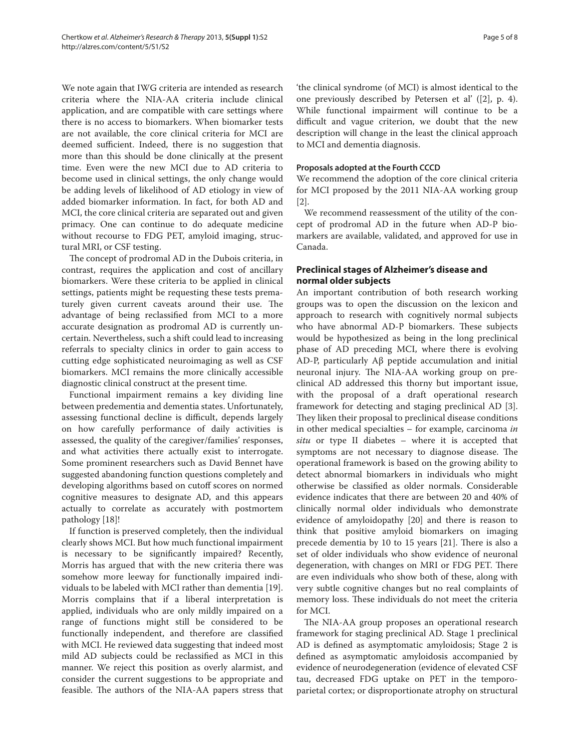We note again that IWG criteria are intended as research criteria where the NIA-AA criteria include clinical application, and are compatible with care settings where there is no access to biomarkers. When biomarker tests are not available, the core clinical criteria for MCI are deemed sufficient. Indeed, there is no suggestion that more than this should be done clinically at the present time. Even were the new MCI due to AD criteria to become used in clinical settings, the only change would be adding levels of likelihood of AD etiology in view of added biomarker information. In fact, for both AD and MCI, the core clinical criteria are separated out and given primacy. One can continue to do adequate medicine without recourse to FDG PET, amyloid imaging, structural MRI, or CSF testing.

The concept of prodromal AD in the Dubois criteria, in contrast, requires the application and cost of ancillary biomarkers. Were these criteria to be applied in clinical settings, patients might be requesting these tests prematurely given current caveats around their use. The advantage of being reclassified from MCI to a more accurate designation as prodromal AD is currently uncertain. Nevertheless, such a shift could lead to increasing referrals to specialty clinics in order to gain access to cutting edge sophisticated neuroimaging as well as CSF biomarkers. MCI remains the more clinically accessible diagnostic clinical construct at the present time.

Functional impairment remains a key dividing line between predementia and dementia states. Unfortunately, assessing functional decline is difficult, depends largely on how carefully performance of daily activities is assessed, the quality of the caregiver/families' responses, and what activities there actually exist to interrogate. Some prominent researchers such as David Bennet have suggested abandoning function questions completely and developing algorithms based on cutoff scores on normed cognitive measures to designate AD, and this appears actually to correlate as accurately with postmortem pathology [18]!

If function is preserved completely, then the individual clearly shows MCI. But how much functional impairment is necessary to be significantly impaired? Recently, Morris has argued that with the new criteria there was somehow more leeway for functionally impaired individuals to be labeled with MCI rather than dementia [19]. Morris complains that if a liberal interpretation is applied, individuals who are only mildly impaired on a range of functions might still be considered to be functionally independent, and therefore are classified with MCI. He reviewed data suggesting that indeed most mild AD subjects could be reclassified as MCI in this manner. We reject this position as overly alarmist, and consider the current suggestions to be appropriate and feasible. The authors of the NIA-AA papers stress that

'the clinical syndrome (of MCI) is almost identical to the one previously described by Petersen et al'  $(2]$ , p. 4). While functional impairment will continue to be a difficult and vague criterion, we doubt that the new description will change in the least the clinical approach to MCI and dementia diagnosis.

### **Proposals adopted at the Fourth CCCD**

We recommend the adoption of the core clinical criteria for MCI proposed by the 2011 NIA-AA working group [2].

We recommend reassessment of the utility of the concept of prodromal AD in the future when AD-P biomarkers are available, validated, and approved for use in Canada.

# **Preclinical stages of Alzheimer's disease and normal older subjects**

An important contribution of both research working groups was to open the discussion on the lexicon and approach to research with cognitively normal subjects who have abnormal AD-P biomarkers. These subjects would be hypothesized as being in the long preclinical phase of AD preceding MCI, where there is evolving AD-P, particularly Aβ peptide accumulation and initial neuronal injury. The NIA-AA working group on preclinical AD addressed this thorny but important issue, with the proposal of a draft operational research framework for detecting and staging preclinical AD [3]. They liken their proposal to preclinical disease conditions in other medical specialties – for example, carcinoma *in situ* or type II diabetes – where it is accepted that symptoms are not necessary to diagnose disease. The operational framework is based on the growing ability to detect abnormal biomarkers in individuals who might otherwise be classified as older normals. Considerable evidence indicates that there are between 20 and 40% of clinically normal older individuals who demonstrate evidence of amyloidopathy [20] and there is reason to think that positive amyloid biomarkers on imaging precede dementia by 10 to 15 years [21]. There is also a set of older individuals who show evidence of neuronal degeneration, with changes on MRI or FDG PET. There are even individuals who show both of these, along with very subtle cognitive changes but no real complaints of memory loss. These individuals do not meet the criteria for MCI.

The NIA-AA group proposes an operational research framework for staging preclinical AD. Stage 1 preclinical AD is defined as asymptomatic amyloidosis; Stage 2 is defined as asymptomatic amyloidosis accompanied by evidence of neurodegeneration (evidence of elevated CSF tau, decreased FDG uptake on PET in the temporoparietal cortex; or disproportionate atrophy on structural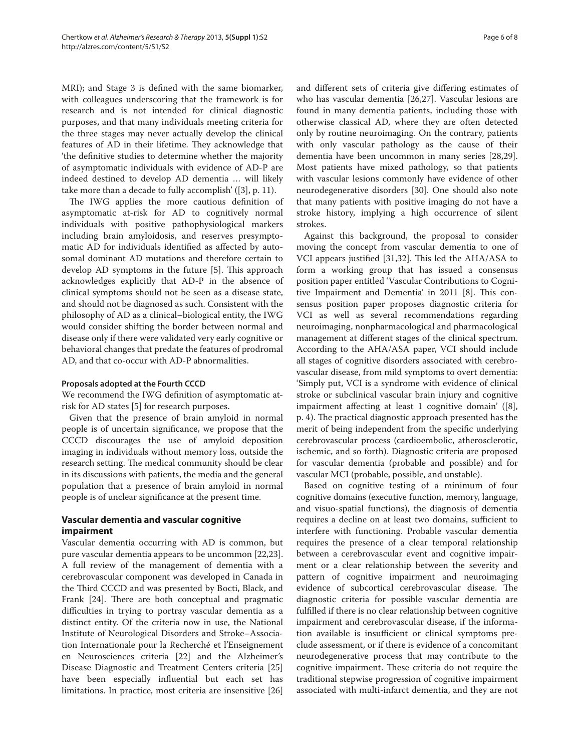MRI); and Stage 3 is defined with the same biomarker, with colleagues underscoring that the framework is for research and is not intended for clinical diagnostic purposes, and that many individuals meeting criteria for the three stages may never actually develop the clinical features of AD in their lifetime. They acknowledge that 'the definitive studies to determine whether the majority of asymptomatic individuals with evidence of AD-P are indeed destined to develop AD dementia … will likely take more than a decade to fully accomplish' ([3], p. 11).

The IWG applies the more cautious definition of asymptomatic at-risk for AD to cognitively normal individuals with positive pathophysiological markers including brain amyloidosis, and reserves presymptomatic AD for individuals identified as affected by autosomal dominant AD mutations and therefore certain to develop AD symptoms in the future [5]. This approach acknowledges explicitly that AD-P in the absence of clinical symptoms should not be seen as a disease state, and should not be diagnosed as such. Consistent with the philosophy of AD as a clinical–biological entity, the IWG would consider shifting the border between normal and disease only if there were validated very early cognitive or behavioral changes that predate the features of prodromal AD, and that co-occur with AD-P abnormalities.

#### **Proposals adopted at the Fourth CCCD**

We recommend the IWG definition of asymptomatic atrisk for AD states [5] for research purposes.

Given that the presence of brain amyloid in normal people is of uncertain significance, we propose that the CCCD discourages the use of amyloid deposition imaging in individuals without memory loss, outside the research setting. The medical community should be clear in its discussions with patients, the media and the general population that a presence of brain amyloid in normal people is of unclear significance at the present time.

### **Vascular dementia and vascular cognitive impairment**

Vascular dementia occurring with AD is common, but pure vascular dementia appears to be uncommon [22,23]. A full review of the management of dementia with a cerebrovascular component was developed in Canada in the Third CCCD and was presented by Bocti, Black, and Frank [24]. There are both conceptual and pragmatic difficulties in trying to portray vascular dementia as a distinct entity. Of the criteria now in use, the National Institute of Neurological Disorders and Stroke–Association Internationale pour la Recherché et l'Enseignement en Neurosciences criteria [22] and the Alzheimer's Disease Diagnostic and Treatment Centers criteria [25] have been especially influential but each set has limitations. In practice, most criteria are insensitive [26] and different sets of criteria give differing estimates of who has vascular dementia [26,27]. Vascular lesions are found in many dementia patients, including those with other wise classical AD, where they are often detected only by routine neuroimaging. On the contrary, patients with only vascular pathology as the cause of their dementia have been uncommon in many series [28,29]. Most patients have mixed pathology, so that patients with vascular lesions commonly have evidence of other neuro degenerative disorders [30]. One should also note that many patients with positive imaging do not have a stroke history, implying a high occurrence of silent strokes.

Against this background, the proposal to consider moving the concept from vascular dementia to one of VCI appears justified  $[31,32]$ . This led the AHA/ASA to form a working group that has issued a consensus position paper entitled 'Vascular Contributions to Cognitive Impairment and Dementia' in  $2011$  [8]. This consensus position paper proposes diagnostic criteria for VCI as well as several recommendations regarding neuro imaging, nonpharmacological and pharmacological management at different stages of the clinical spectrum. According to the AHA/ASA paper, VCI should include all stages of cognitive disorders associated with cerebrovascular disease, from mild symptoms to overt dementia: 'Simply put, VCI is a syndrome with evidence of clinical stroke or subclinical vascular brain injury and cognitive impairment affecting at least 1 cognitive domain'  $([8],$ p. 4). The practical diagnostic approach presented has the merit of being independent from the specific underlying cerebrovascular process (cardioembolic, atherosclerotic, ischemic, and so forth). Diagnostic criteria are proposed for vascular dementia (probable and possible) and for vascular MCI (probable, possible, and unstable).

Based on cognitive testing of a minimum of four cognitive domains (executive function, memory, language, and visuo-spatial functions), the diagnosis of dementia requires a decline on at least two domains, sufficient to interfere with functioning. Probable vascular dementia requires the presence of a clear temporal relationship between a cerebrovascular event and cognitive impairment or a clear relationship between the severity and pattern of cognitive impairment and neuroimaging evidence of subcortical cerebrovascular disease. The diagnostic criteria for possible vascular dementia are fulfilled if there is no clear relationship between cognitive impairment and cerebrovascular disease, if the information available is insufficient or clinical symptoms preclude assessment, or if there is evidence of a concomitant neurodegenerative process that may contribute to the cognitive impairment. These criteria do not require the traditional stepwise progression of cognitive impairment associated with multi-infarct dementia, and they are not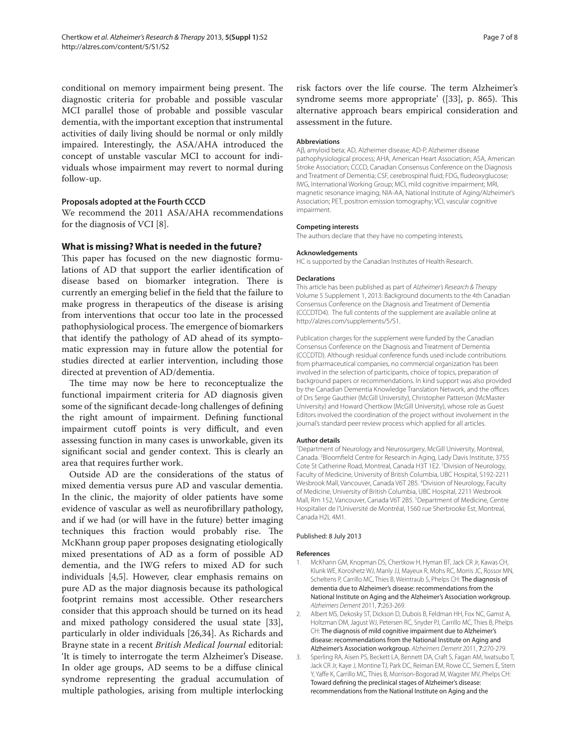conditional on memory impairment being present. The diagnostic criteria for probable and possible vascular MCI parallel those of probable and possible vascular dementia, with the important exception that instrumental activities of daily living should be normal or only mildly impaired. Interestingly, the ASA/AHA introduced the concept of unstable vascular MCI to account for individuals whose impairment may revert to normal during follow-up.

#### **Proposals adopted at the Fourth CCCD**

We recommend the 2011 ASA/AHA recommendations for the diagnosis of VCI [8].

#### **What is missing? What is needed in the future?**

This paper has focused on the new diagnostic formulations of AD that support the earlier identification of disease based on biomarker integration. There is currently an emerging belief in the field that the failure to make progress in therapeutics of the disease is arising from interventions that occur too late in the processed pathophysiological process. The emergence of biomarkers that identify the pathology of AD ahead of its symptomatic expression may in future allow the potential for studies directed at earlier intervention, including those directed at prevention of AD/dementia.

The time may now be here to reconceptualize the functional impairment criteria for AD diagnosis given some of the significant decade-long challenges of defining the right amount of impairment. Defining functional impairment cutoff points is very difficult, and even assessing function in many cases is unworkable, given its significant social and gender context. This is clearly an area that requires further work.

Outside AD are the considerations of the status of mixed dementia versus pure AD and vascular dementia. In the clinic, the majority of older patients have some evidence of vascular as well as neurofibrillary pathology, and if we had (or will have in the future) better imaging techniques this fraction would probably rise. The McKhann group paper proposes designating etiologically mixed presentations of AD as a form of possible AD dementia, and the IWG refers to mixed AD for such individuals [4,5]. However, clear emphasis remains on pure AD as the major diagnosis because its pathological footprint remains most accessible. Other researchers consider that this approach should be turned on its head and mixed pathology considered the usual state [33], particularly in older individuals [26,34]. As Richards and Brayne state in a recent *British Medical Journal* editorial: 'It is timely to interrogate the term Alzheimer's Disease. In older age groups, AD seems to be a diffuse clinical syndrome representing the gradual accumulation of multiple pathologies, arising from multiple interlocking

risk factors over the life course. The term Alzheimer's syndrome seems more appropriate'  $(33)$ , p. 865). This alternative approach bears empirical consideration and assessment in the future.

#### **Abbreviations**

Aβ, amyloid beta; AD, Alzheimer disease; AD-P, Alzheimer disease pathophysiological process; AHA, American Heart Association; ASA, American Stroke Association; CCCD, Canadian Consensus Conference on the Diagnosis and Treatment of Dementia; CSF, cerebrospinal fluid; FDG, fludeoxyglucose; IWG, International Working Group; MCI, mild cognitive impairment; MRI, magnetic resonance imaging; NIA-AA, National Institute of Aging/Alzheimer's Association; PET, positron emission tomography; VCI, vascular cognitive impairment.

#### **Competing interests**

The authors declare that they have no competing interests.

#### **Acknowledgements**

HC is supported by the Canadian Institutes of Health Research.

#### **Declarations**

This article has been published as part of Alzheimer's Research & Therapy Volume 5 Supplement 1, 2013: Background documents to the 4th Canadian Consensus Conference on the Diagnosis and Treatment of Dementia (CCCDTD4). The full contents of the supplement are available online at http://alzres.com/supplements/5/S1.

Publication charges for the supplement were funded by the Canadian Consensus Conference on the Diagnosis and Treatment of Dementia (CCCDTD). Although residual conference funds used include contributions from pharmaceutical companies, no commercial organization has been involved in the selection of participants, choice of topics, preparation of background papers or recommendations. In kind support was also provided by the Canadian Dementia Knowledge Translation Network, and the offices of Drs Serge Gauthier (McGill University), Christopher Patterson (McMaster University) and Howard Chertkow (McGill University), whose role as Guest Editors involved the coordination of the project without involvement in the journal's standard peer review process which applied for all articles.

#### **Author details**

1 Department of Neurology and Neurosurgery, McGill University, Montreal, Canada. <sup>2</sup>Bloomfield Centre for Research in Aging, Lady Davis Institute, 3755 Cote St Catherine Road, Montreal, Canada H3T 1E2. <sup>3</sup> Division of Neurology, Faculty of Medicine, University of British Columbia, UBC Hospital, S192-2211 Wesbrook Mall, Vancouver, Canada V6T 2B5. 4 Divis ion of Neurology, Faculty of Medicine, University of British Columbia, UBC Hospital, 2211 Wesbrook Mall, Rm 152, Vancouver, Canada V6T 2B5. <sup>5</sup>Department of Medicine, Centre Hospitalier de l'Université de Montréal, 1560 rue Sherbrooke Est, Montreal, Canada H2L 4M1.

#### Published: 8 July 2013

#### **References**

- 1. McKhann GM, Knopman DS, Chertkow H, Hyman BT, Jack CR Jr, Kawas CH, Klunk WE, Koroshetz WJ, Manly JJ, Mayeux R, Mohs RC, Morris JC, Rossor MN, Scheltens P, Carrillo MC, Thies B, Weintraub S, Phelps CH: The diagnosis of dementia due to Alzheimer's disease: recommendations from the National Institute on Aging and the Alzheimer's Association workgroup. Alzheimers Dement 2011, 7:263-269.
- 2. Albert MS, Dekosky ST, Dickson D, Dubois B, Feldman HH, Fox NC, Gamst A, Holtzman DM, Jagust WJ, Petersen RC, Snyder PJ, Carrillo MC, Thies B, Phelps CH: The diagnosis of mild cognitive impairment due to Alzheimer's disease: recommendations from the National Institute on Aging and Alzheimer's Association workgroup. Alzheimers Dement 2011, 7:270-279.
- 3. Sperling RA, Aisen PS, Beckett LA, Bennett DA, Craft S, Fagan AM, Iwatsubo T, Jack CR Jr, Kaye J, Montine TJ, Park DC, Reiman EM, Rowe CC, Siemers E, Stern Y, Yaffe K, Carrillo MC, Thies B, Morrison-Bogorad M, Wagster MV, Phelps CH: Toward defining the preclinical stages of Alzheimer's disease: recommendations from the National Institute on Aging and the